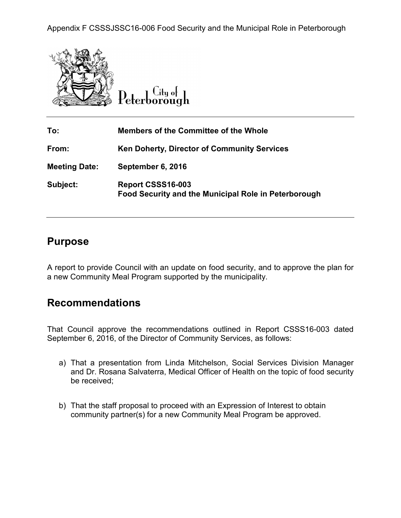Appendix F CSSSJSSC16-006 Food Security and the Municipal Role in Peterborough





| To:                  | <b>Members of the Committee of the Whole</b>                                     |
|----------------------|----------------------------------------------------------------------------------|
| From:                | <b>Ken Doherty, Director of Community Services</b>                               |
| <b>Meeting Date:</b> | September 6, 2016                                                                |
| Subject:             | Report CSSS16-003<br><b>Food Security and the Municipal Role in Peterborough</b> |

### **Purpose**

A report to provide Council with an update on food security, and to approve the plan for a new Community Meal Program supported by the municipality.

## **Recommendations**

That Council approve the recommendations outlined in Report CSSS16-003 dated September 6, 2016, of the Director of Community Services, as follows:

- a) That a presentation from Linda Mitchelson, Social Services Division Manager and Dr. Rosana Salvaterra, Medical Officer of Health on the topic of food security be received;
- b) That the staff proposal to proceed with an Expression of Interest to obtain community partner(s) for a new Community Meal Program be approved.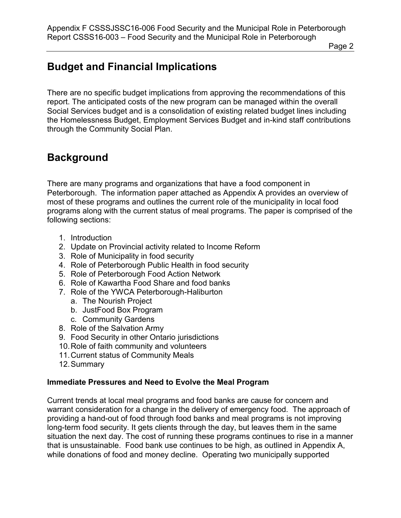Page 2

# **Budget and Financial Implications**

There are no specific budget implications from approving the recommendations of this report. The anticipated costs of the new program can be managed within the overall Social Services budget and is a consolidation of existing related budget lines including the Homelessness Budget, Employment Services Budget and in-kind staff contributions through the Community Social Plan.

## **Background**

There are many programs and organizations that have a food component in Peterborough. The information paper attached as Appendix A provides an overview of most of these programs and outlines the current role of the municipality in local food programs along with the current status of meal programs. The paper is comprised of the following sections:

- 1. Introduction
- 2. Update on Provincial activity related to Income Reform
- 3. Role of Municipality in food security
- 4. Role of Peterborough Public Health in food security
- 5. Role of Peterborough Food Action Network
- 6. Role of Kawartha Food Share and food banks
- 7. Role of the YWCA Peterborough-Haliburton
	- a. The Nourish Project
	- b. JustFood Box Program
	- c. Community Gardens
- 8. Role of the Salvation Army
- 9. Food Security in other Ontario jurisdictions
- 10. Role of faith community and volunteers
- 11. Current status of Community Meals
- 12. Summary

#### **Immediate Pressures and Need to Evolve the Meal Program**

Current trends at local meal programs and food banks are cause for concern and warrant consideration for a change in the delivery of emergency food. The approach of providing a hand-out of food through food banks and meal programs is not improving long-term food security. It gets clients through the day, but leaves them in the same situation the next day. The cost of running these programs continues to rise in a manner that is unsustainable. Food bank use continues to be high, as outlined in Appendix A, while donations of food and money decline. Operating two municipally supported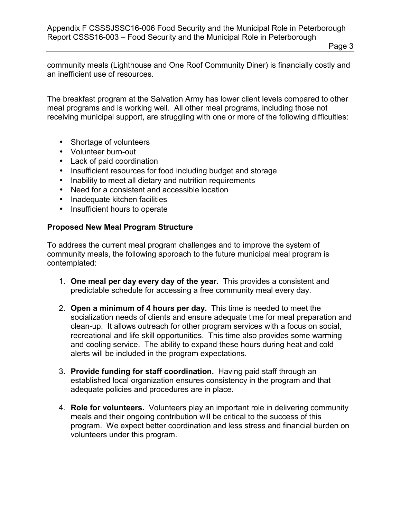Page 3

community meals (Lighthouse and One Roof Community Diner) is financially costly and an inefficient use of resources.

The breakfast program at the Salvation Army has lower client levels compared to other meal programs and is working well. All other meal programs, including those not receiving municipal support, are struggling with one or more of the following difficulties:

- Shortage of volunteers
- Volunteer burn-out
- Lack of paid coordination
- Insufficient resources for food including budget and storage
- Inability to meet all dietary and nutrition requirements
- Need for a consistent and accessible location
- Inadequate kitchen facilities
- Insufficient hours to operate

#### **Proposed New Meal Program Structure**

To address the current meal program challenges and to improve the system of community meals, the following approach to the future municipal meal program is contemplated:

- 1. **One meal per day every day of the year.** This provides a consistent and predictable schedule for accessing a free community meal every day.
- 2. **Open a minimum of 4 hours per day.** This time is needed to meet the socialization needs of clients and ensure adequate time for meal preparation and clean-up. It allows outreach for other program services with a focus on social, recreational and life skill opportunities. This time also provides some warming and cooling service. The ability to expand these hours during heat and cold alerts will be included in the program expectations.
- 3. **Provide funding for staff coordination.** Having paid staff through an established local organization ensures consistency in the program and that adequate policies and procedures are in place.
- 4. **Role for volunteers.** Volunteers play an important role in delivering community meals and their ongoing contribution will be critical to the success of this program. We expect better coordination and less stress and financial burden on volunteers under this program.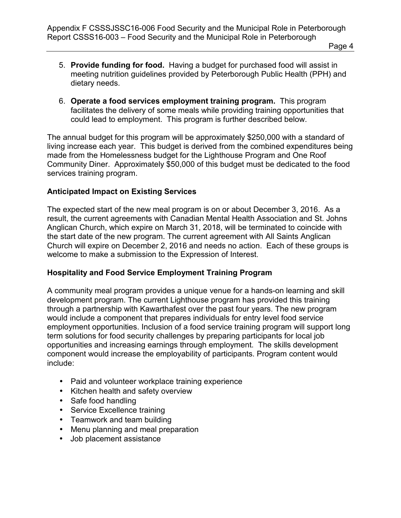- 5. **Provide funding for food.** Having a budget for purchased food will assist in meeting nutrition guidelines provided by Peterborough Public Health (PPH) and dietary needs.
- 6. **Operate a food services employment training program.** This program facilitates the delivery of some meals while providing training opportunities that could lead to employment. This program is further described below.

The annual budget for this program will be approximately \$250,000 with a standard of living increase each year. This budget is derived from the combined expenditures being made from the Homelessness budget for the Lighthouse Program and One Roof Community Diner. Approximately \$50,000 of this budget must be dedicated to the food services training program.

### **Anticipated Impact on Existing Services**

The expected start of the new meal program is on or about December 3, 2016. As a result, the current agreements with Canadian Mental Health Association and St. Johns Anglican Church, which expire on March 31, 2018, will be terminated to coincide with the start date of the new program. The current agreement with All Saints Anglican Church will expire on December 2, 2016 and needs no action. Each of these groups is welcome to make a submission to the Expression of Interest.

#### **Hospitality and Food Service Employment Training Program**

A community meal program provides a unique venue for a hands-on learning and skill development program. The current Lighthouse program has provided this training through a partnership with Kawarthafest over the past four years. The new program would include a component that prepares individuals for entry level food service employment opportunities. Inclusion of a food service training program will support long term solutions for food security challenges by preparing participants for local job opportunities and increasing earnings through employment. The skills development component would increase the employability of participants. Program content would include:

- Paid and volunteer workplace training experience
- Kitchen health and safety overview
- Safe food handling
- Service Excellence training
- Teamwork and team building
- Menu planning and meal preparation
- Job placement assistance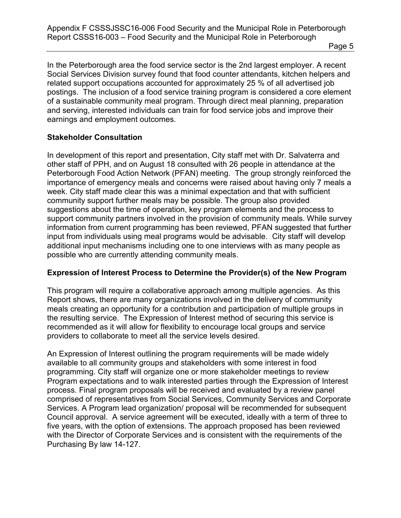Page 5

In the Peterborough area the food service sector is the 2nd largest employer. A recent Social Services Division survey found that food counter attendants, kitchen helpers and related support occupations accounted for approximately 25 % of all advertised job postings. The inclusion of a food service training program is considered a core element of a sustainable community meal program. Through direct meal planning, preparation and serving, interested individuals can train for food service jobs and improve their earnings and employment outcomes.

#### **Stakeholder Consultation**

In development of this report and presentation, City staff met with Dr. Salvaterra and other staff of PPH, and on August 18 consulted with 26 people in attendance at the Peterborough Food Action Network (PFAN) meeting. The group strongly reinforced the importance of emergency meals and concerns were raised about having only 7 meals a week. City staff made clear this was a minimal expectation and that with sufficient community support further meals may be possible. The group also provided suggestions about the time of operation, key program elements and the process to support community partners involved in the provision of community meals. While survey information from current programming has been reviewed, PFAN suggested that further input from individuals using meal programs would be advisable. City staff will develop additional input mechanisms including one to one interviews with as many people as possible who are currently attending community meals.

### **Expression of Interest Process to Determine the Provider(s) of the New Program**

This program will require a collaborative approach among multiple agencies. As this Report shows, there are many organizations involved in the delivery of community meals creating an opportunity for a contribution and participation of multiple groups in the resulting service. The Expression of Interest method of securing this service is recommended as it will allow for flexibility to encourage local groups and service providers to collaborate to meet all the service levels desired.

An Expression of Interest outlining the program requirements will be made widely available to all community groups and stakeholders with some interest in food programming. City staff will organize one or more stakeholder meetings to review Program expectations and to walk interested parties through the Expression of Interest process. Final program proposals will be received and evaluated by a review panel comprised of representatives from Social Services, Community Services and Corporate Services. A Program lead organization/ proposal will be recommended for subsequent Council approval. A service agreement will be executed, ideally with a term of three to five years, with the option of extensions. The approach proposed has been reviewed with the Director of Corporate Services and is consistent with the requirements of the Purchasing By law 14-127.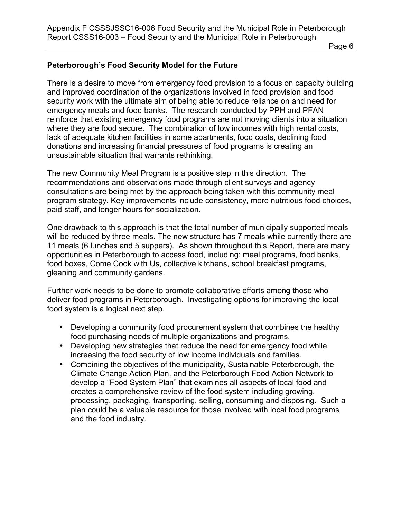Page 6

#### **Peterborough's Food Security Model for the Future**

There is a desire to move from emergency food provision to a focus on capacity building and improved coordination of the organizations involved in food provision and food security work with the ultimate aim of being able to reduce reliance on and need for emergency meals and food banks. The research conducted by PPH and PFAN reinforce that existing emergency food programs are not moving clients into a situation where they are food secure. The combination of low incomes with high rental costs, lack of adequate kitchen facilities in some apartments, food costs, declining food donations and increasing financial pressures of food programs is creating an unsustainable situation that warrants rethinking.

The new Community Meal Program is a positive step in this direction. The recommendations and observations made through client surveys and agency consultations are being met by the approach being taken with this community meal program strategy. Key improvements include consistency, more nutritious food choices, paid staff, and longer hours for socialization.

One drawback to this approach is that the total number of municipally supported meals will be reduced by three meals. The new structure has 7 meals while currently there are 11 meals (6 lunches and 5 suppers). As shown throughout this Report, there are many opportunities in Peterborough to access food, including: meal programs, food banks, food boxes, Come Cook with Us, collective kitchens, school breakfast programs, gleaning and community gardens.

Further work needs to be done to promote collaborative efforts among those who deliver food programs in Peterborough. Investigating options for improving the local food system is a logical next step.

- Developing a community food procurement system that combines the healthy food purchasing needs of multiple organizations and programs.
- Developing new strategies that reduce the need for emergency food while increasing the food security of low income individuals and families.
- Combining the objectives of the municipality, Sustainable Peterborough, the Climate Change Action Plan, and the Peterborough Food Action Network to develop a "Food System Plan" that examines all aspects of local food and creates a comprehensive review of the food system including growing, processing, packaging, transporting, selling, consuming and disposing. Such a plan could be a valuable resource for those involved with local food programs and the food industry.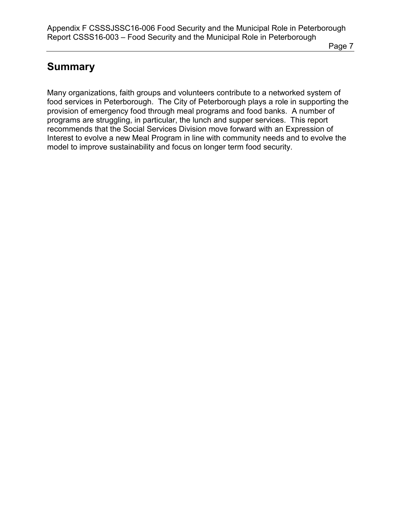Page 7

# **Summary**

Many organizations, faith groups and volunteers contribute to a networked system of food services in Peterborough. The City of Peterborough plays a role in supporting the provision of emergency food through meal programs and food banks. A number of programs are struggling, in particular, the lunch and supper services. This report recommends that the Social Services Division move forward with an Expression of Interest to evolve a new Meal Program in line with community needs and to evolve the model to improve sustainability and focus on longer term food security.